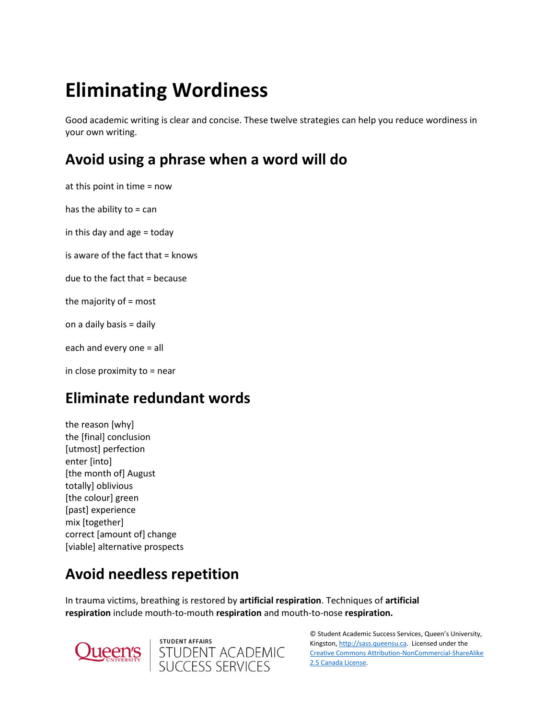# **Eliminating Wordiness**

Good academic writing is clear and concise. These twelve strategies can help you reduce wordiness in your own writing.

# **Avoid using a phrase when a word will do**

at this point in time = now has the ability to  $=$  can in this day and age = today is aware of the fact that = knows due to the fact that = because the majority of = most on a daily basis = daily each and every one = all in close proximity to = near

# **Eliminate redundant words**

the reason [why] the [final] conclusion [utmost] perfection enter [into] [the month of] August totally] oblivious [the colour] green [past] experience mix [together] correct [amount of] change [viable] alternative prospects

# **Avoid needless repetition**

In trauma victims, breathing is restored by **artificial respiration**. Techniques of **artificial respiration** include mouth-to-mouth **respiration** and mouth-to-nose **respiration.**





© Student Academic Success Services, Queen's University, Kingston[, http://sass.queensu.ca.](http://sass.queensu.ca/) Licensed under the [Creative Commons Attribution-NonCommercial-ShareAlike](http://creativecommons.org/licenses/by-nc-sa/2.5/ca/)  [2.5 Canada License.](http://creativecommons.org/licenses/by-nc-sa/2.5/ca/)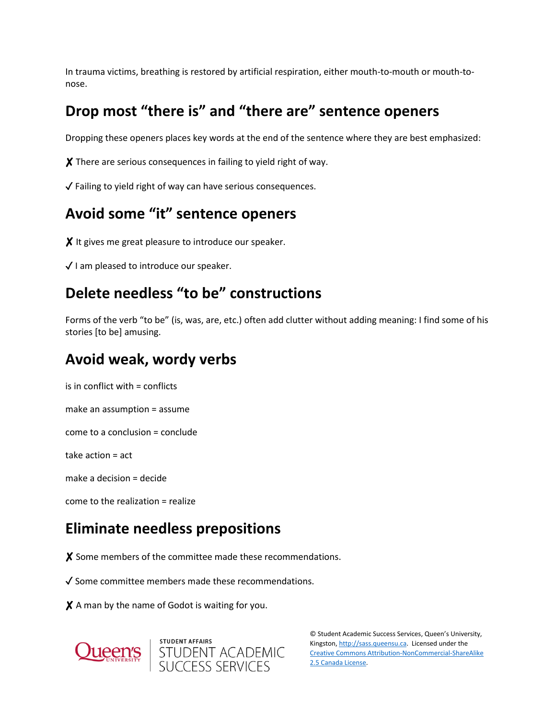In trauma victims, breathing is restored by artificial respiration, either mouth-to-mouth or mouth-tonose.

# **Drop most "there is" and "there are" sentence openers**

Dropping these openers places key words at the end of the sentence where they are best emphasized:

✘ There are serious consequences in failing to yield right of way.

✓ Failing to yield right of way can have serious consequences.

#### **Avoid some "it" sentence openers**

X It gives me great pleasure to introduce our speaker.

✓ I am pleased to introduce our speaker.

## **Delete needless "to be" constructions**

Forms of the verb "to be" (is, was, are, etc.) often add clutter without adding meaning: I find some of his stories [to be] amusing.

#### **Avoid weak, wordy verbs**

is in conflict with = conflicts

make an assumption = assume

come to a conclusion = conclude

take action = act

make a decision = decide

come to the realization = realize

# **Eliminate needless prepositions**

✘ Some members of the committee made these recommendations.

✓ Some committee members made these recommendations.

X A man by the name of Godot is waiting for you.





© Student Academic Success Services, Queen's University, Kingston[, http://sass.queensu.ca.](http://sass.queensu.ca/) Licensed under the [Creative Commons Attribution-NonCommercial-ShareAlike](http://creativecommons.org/licenses/by-nc-sa/2.5/ca/)  [2.5 Canada License.](http://creativecommons.org/licenses/by-nc-sa/2.5/ca/)